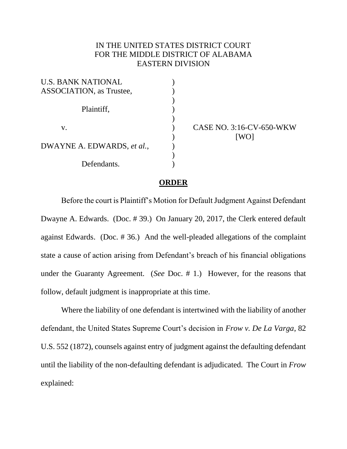## IN THE UNITED STATES DISTRICT COURT FOR THE MIDDLE DISTRICT OF ALABAMA EASTERN DIVISION

) ) ) ) ) )  $\mathcal{E}$ ) ) )

| <b>U.S. BANK NATIONAL</b>        |
|----------------------------------|
| <b>ASSOCIATION</b> , as Trustee, |
| Plaintiff,                       |
| V.                               |
| DWAYNE A. EDWARDS, et al.,       |
| Defendants.                      |

CASE NO. 3:16-CV-650-WKW [WO]

## **ORDER**

Before the court is Plaintiff's Motion for Default Judgment Against Defendant Dwayne A. Edwards. (Doc. # 39.) On January 20, 2017, the Clerk entered default against Edwards. (Doc. # 36.) And the well-pleaded allegations of the complaint state a cause of action arising from Defendant's breach of his financial obligations under the Guaranty Agreement. (*See* Doc. # 1.) However, for the reasons that follow, default judgment is inappropriate at this time.

Where the liability of one defendant is intertwined with the liability of another defendant, the United States Supreme Court's decision in *Frow v. De La Varga*, 82 U.S. 552 (1872), counsels against entry of judgment against the defaulting defendant until the liability of the non-defaulting defendant is adjudicated. The Court in *Frow* explained: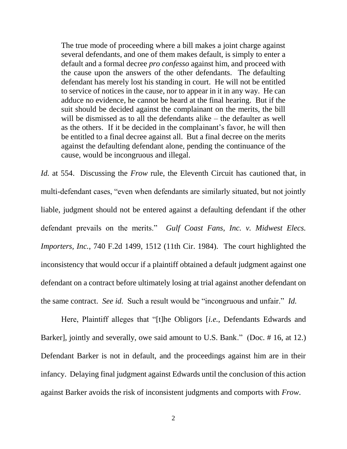The true mode of proceeding where a bill makes a joint charge against several defendants, and one of them makes default, is simply to enter a default and a formal decree *pro confesso* against him, and proceed with the cause upon the answers of the other defendants. The defaulting defendant has merely lost his standing in court. He will not be entitled to service of notices in the cause, nor to appear in it in any way. He can adduce no evidence, he cannot be heard at the final hearing. But if the suit should be decided against the complainant on the merits, the bill will be dismissed as to all the defendants alike – the defaulter as well as the others. If it be decided in the complainant's favor, he will then be entitled to a final decree against all. But a final decree on the merits against the defaulting defendant alone, pending the continuance of the cause, would be incongruous and illegal.

*Id.* at 554. Discussing the *Frow* rule, the Eleventh Circuit has cautioned that, in multi-defendant cases, "even when defendants are similarly situated, but not jointly liable, judgment should not be entered against a defaulting defendant if the other defendant prevails on the merits." *Gulf Coast Fans, Inc. v. Midwest Elecs. Importers, Inc.*, 740 F.2d 1499, 1512 (11th Cir. 1984). The court highlighted the inconsistency that would occur if a plaintiff obtained a default judgment against one defendant on a contract before ultimately losing at trial against another defendant on the same contract. *See id.* Such a result would be "incongruous and unfair." *Id.*

Here, Plaintiff alleges that "[t]he Obligors [*i.e.*, Defendants Edwards and Barker], jointly and severally, owe said amount to U.S. Bank." (Doc. # 16, at 12.) Defendant Barker is not in default, and the proceedings against him are in their infancy. Delaying final judgment against Edwards until the conclusion of this action against Barker avoids the risk of inconsistent judgments and comports with *Frow*.